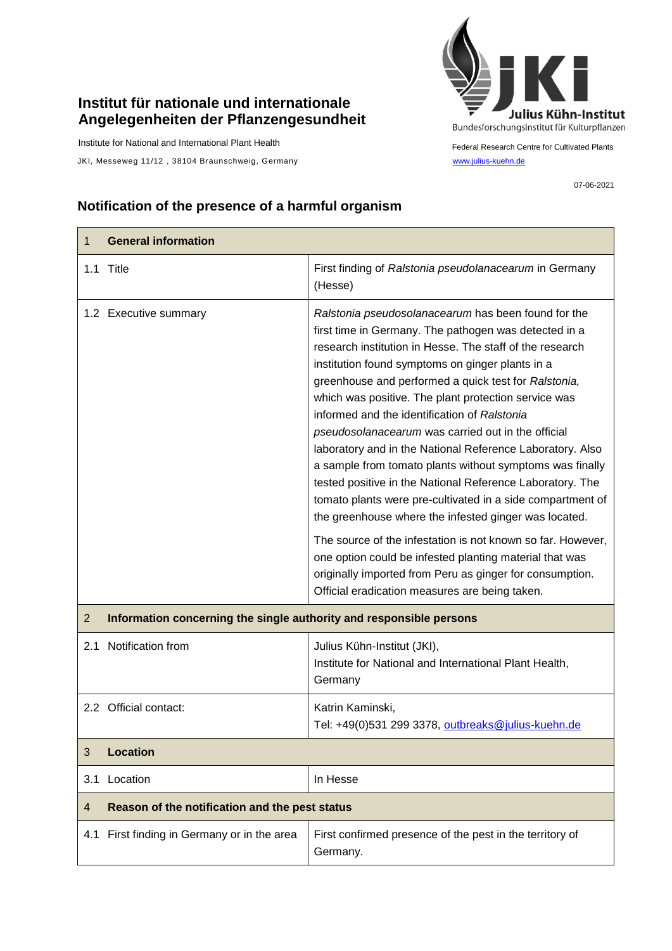## **Institut für nationale und internationale Angelegenheiten der Pflanzengesundheit**

Institute for National and International Plant Health

JKI, Messeweg 11/12, 38104 Braunschweig, Germany [www.julius-kuehn.de](http://www.julius-kuehn.de/)



Federal Research Centre for Cultivated Plants

07-06-2021

## **Notification of the presence of a harmful organism**

| 1              | <b>General information</b>                                          |                                                                                                                                                                                                                                                                                                                                                                                                                                                                                                                                                                                                                                                                                                                                                                                                                                                                                                                                                                                                         |
|----------------|---------------------------------------------------------------------|---------------------------------------------------------------------------------------------------------------------------------------------------------------------------------------------------------------------------------------------------------------------------------------------------------------------------------------------------------------------------------------------------------------------------------------------------------------------------------------------------------------------------------------------------------------------------------------------------------------------------------------------------------------------------------------------------------------------------------------------------------------------------------------------------------------------------------------------------------------------------------------------------------------------------------------------------------------------------------------------------------|
|                | 1.1 Title                                                           | First finding of Ralstonia pseudolanacearum in Germany<br>(Hesse)                                                                                                                                                                                                                                                                                                                                                                                                                                                                                                                                                                                                                                                                                                                                                                                                                                                                                                                                       |
|                | 1.2 Executive summary                                               | Ralstonia pseudosolanacearum has been found for the<br>first time in Germany. The pathogen was detected in a<br>research institution in Hesse. The staff of the research<br>institution found symptoms on ginger plants in a<br>greenhouse and performed a quick test for Ralstonia,<br>which was positive. The plant protection service was<br>informed and the identification of Ralstonia<br>pseudosolanacearum was carried out in the official<br>laboratory and in the National Reference Laboratory. Also<br>a sample from tomato plants without symptoms was finally<br>tested positive in the National Reference Laboratory. The<br>tomato plants were pre-cultivated in a side compartment of<br>the greenhouse where the infested ginger was located.<br>The source of the infestation is not known so far. However,<br>one option could be infested planting material that was<br>originally imported from Peru as ginger for consumption.<br>Official eradication measures are being taken. |
|                |                                                                     |                                                                                                                                                                                                                                                                                                                                                                                                                                                                                                                                                                                                                                                                                                                                                                                                                                                                                                                                                                                                         |
| $\overline{2}$ | Information concerning the single authority and responsible persons |                                                                                                                                                                                                                                                                                                                                                                                                                                                                                                                                                                                                                                                                                                                                                                                                                                                                                                                                                                                                         |
| 2.1            | Notification from                                                   | Julius Kühn-Institut (JKI),<br>Institute for National and International Plant Health,<br>Germany                                                                                                                                                                                                                                                                                                                                                                                                                                                                                                                                                                                                                                                                                                                                                                                                                                                                                                        |
|                | 2.2 Official contact:                                               | Katrin Kaminski,<br>Tel: +49(0)531 299 3378, outbreaks@julius-kuehn.de                                                                                                                                                                                                                                                                                                                                                                                                                                                                                                                                                                                                                                                                                                                                                                                                                                                                                                                                  |
| 3              | <b>Location</b>                                                     |                                                                                                                                                                                                                                                                                                                                                                                                                                                                                                                                                                                                                                                                                                                                                                                                                                                                                                                                                                                                         |
| 3.1            | Location                                                            | In Hesse                                                                                                                                                                                                                                                                                                                                                                                                                                                                                                                                                                                                                                                                                                                                                                                                                                                                                                                                                                                                |
| $\overline{4}$ | Reason of the notification and the pest status                      |                                                                                                                                                                                                                                                                                                                                                                                                                                                                                                                                                                                                                                                                                                                                                                                                                                                                                                                                                                                                         |
| 4.1            | First finding in Germany or in the area                             | First confirmed presence of the pest in the territory of<br>Germany.                                                                                                                                                                                                                                                                                                                                                                                                                                                                                                                                                                                                                                                                                                                                                                                                                                                                                                                                    |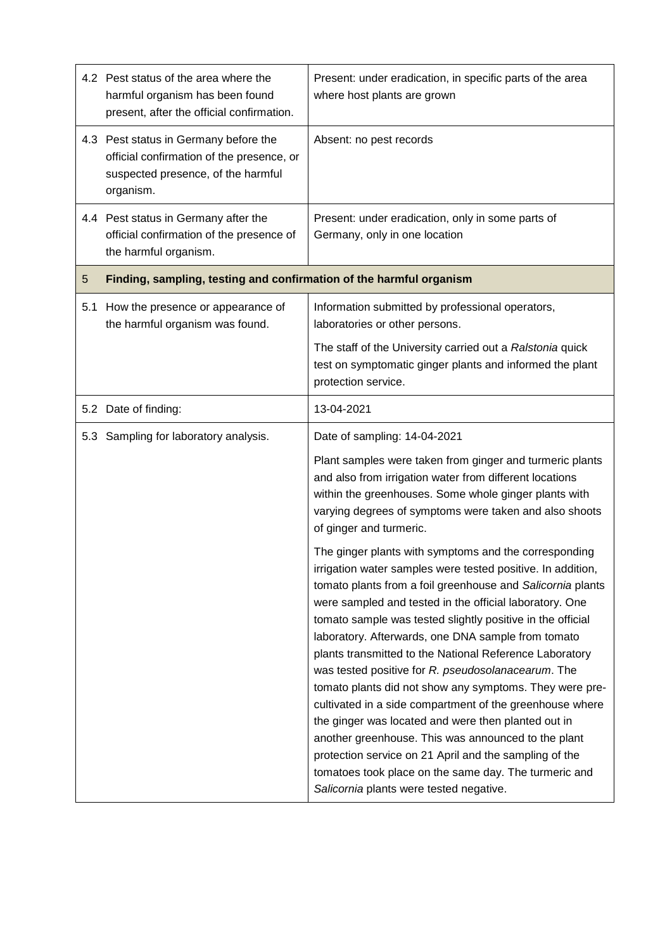|     | 4.2 Pest status of the area where the<br>harmful organism has been found<br>present, after the official confirmation.                 | Present: under eradication, in specific parts of the area<br>where host plants are grown                                                                                                                                                                                                                                                                                                                                                                                                                                                                                                                                                                                                                                                                                                                                                                                              |  |
|-----|---------------------------------------------------------------------------------------------------------------------------------------|---------------------------------------------------------------------------------------------------------------------------------------------------------------------------------------------------------------------------------------------------------------------------------------------------------------------------------------------------------------------------------------------------------------------------------------------------------------------------------------------------------------------------------------------------------------------------------------------------------------------------------------------------------------------------------------------------------------------------------------------------------------------------------------------------------------------------------------------------------------------------------------|--|
|     | 4.3 Pest status in Germany before the<br>official confirmation of the presence, or<br>suspected presence, of the harmful<br>organism. | Absent: no pest records                                                                                                                                                                                                                                                                                                                                                                                                                                                                                                                                                                                                                                                                                                                                                                                                                                                               |  |
|     | 4.4 Pest status in Germany after the<br>official confirmation of the presence of<br>the harmful organism.                             | Present: under eradication, only in some parts of<br>Germany, only in one location                                                                                                                                                                                                                                                                                                                                                                                                                                                                                                                                                                                                                                                                                                                                                                                                    |  |
| 5   | Finding, sampling, testing and confirmation of the harmful organism                                                                   |                                                                                                                                                                                                                                                                                                                                                                                                                                                                                                                                                                                                                                                                                                                                                                                                                                                                                       |  |
| 5.1 | How the presence or appearance of<br>the harmful organism was found.                                                                  | Information submitted by professional operators,<br>laboratories or other persons.                                                                                                                                                                                                                                                                                                                                                                                                                                                                                                                                                                                                                                                                                                                                                                                                    |  |
|     |                                                                                                                                       | The staff of the University carried out a Ralstonia quick<br>test on symptomatic ginger plants and informed the plant<br>protection service.                                                                                                                                                                                                                                                                                                                                                                                                                                                                                                                                                                                                                                                                                                                                          |  |
|     | 5.2 Date of finding:                                                                                                                  | 13-04-2021                                                                                                                                                                                                                                                                                                                                                                                                                                                                                                                                                                                                                                                                                                                                                                                                                                                                            |  |
|     | 5.3 Sampling for laboratory analysis.                                                                                                 | Date of sampling: 14-04-2021                                                                                                                                                                                                                                                                                                                                                                                                                                                                                                                                                                                                                                                                                                                                                                                                                                                          |  |
|     |                                                                                                                                       | Plant samples were taken from ginger and turmeric plants<br>and also from irrigation water from different locations<br>within the greenhouses. Some whole ginger plants with<br>varying degrees of symptoms were taken and also shoots<br>of ginger and turmeric.                                                                                                                                                                                                                                                                                                                                                                                                                                                                                                                                                                                                                     |  |
|     |                                                                                                                                       | The ginger plants with symptoms and the corresponding<br>irrigation water samples were tested positive. In addition,<br>tomato plants from a foil greenhouse and Salicornia plants<br>were sampled and tested in the official laboratory. One<br>tomato sample was tested slightly positive in the official<br>laboratory. Afterwards, one DNA sample from tomato<br>plants transmitted to the National Reference Laboratory<br>was tested positive for R. pseudosolanacearum. The<br>tomato plants did not show any symptoms. They were pre-<br>cultivated in a side compartment of the greenhouse where<br>the ginger was located and were then planted out in<br>another greenhouse. This was announced to the plant<br>protection service on 21 April and the sampling of the<br>tomatoes took place on the same day. The turmeric and<br>Salicornia plants were tested negative. |  |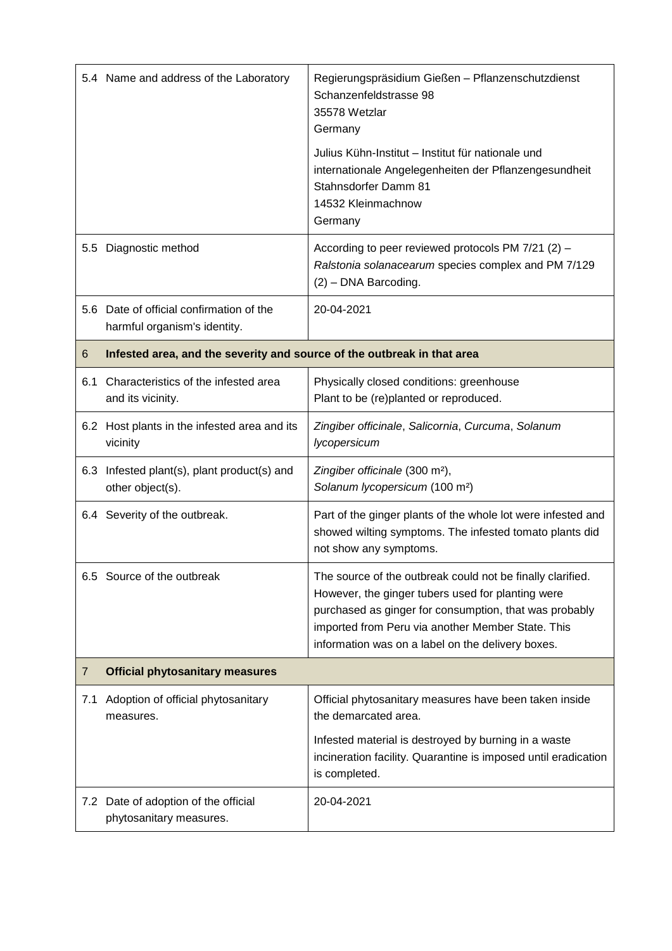|                | 5.4 Name and address of the Laboratory                                   | Regierungspräsidium Gießen - Pflanzenschutzdienst<br>Schanzenfeldstrasse 98<br>35578 Wetzlar<br>Germany<br>Julius Kühn-Institut – Institut für nationale und                                                                                                                        |  |
|----------------|--------------------------------------------------------------------------|-------------------------------------------------------------------------------------------------------------------------------------------------------------------------------------------------------------------------------------------------------------------------------------|--|
|                |                                                                          | internationale Angelegenheiten der Pflanzengesundheit<br>Stahnsdorfer Damm 81<br>14532 Kleinmachnow<br>Germany                                                                                                                                                                      |  |
| $5.5\,$        | Diagnostic method                                                        | According to peer reviewed protocols PM 7/21 (2) -<br>Ralstonia solanacearum species complex and PM 7/129<br>(2) - DNA Barcoding.                                                                                                                                                   |  |
|                | 5.6 Date of official confirmation of the<br>harmful organism's identity. | 20-04-2021                                                                                                                                                                                                                                                                          |  |
| 6              | Infested area, and the severity and source of the outbreak in that area  |                                                                                                                                                                                                                                                                                     |  |
| 6.1            | Characteristics of the infested area<br>and its vicinity.                | Physically closed conditions: greenhouse<br>Plant to be (re)planted or reproduced.                                                                                                                                                                                                  |  |
|                | 6.2 Host plants in the infested area and its<br>vicinity                 | Zingiber officinale, Salicornia, Curcuma, Solanum<br>lycopersicum                                                                                                                                                                                                                   |  |
|                | 6.3 Infested plant(s), plant product(s) and<br>other object(s).          | Zingiber officinale (300 m <sup>2</sup> ),<br>Solanum lycopersicum (100 m <sup>2</sup> )                                                                                                                                                                                            |  |
|                | 6.4 Severity of the outbreak.                                            | Part of the ginger plants of the whole lot were infested and<br>showed wilting symptoms. The infested tomato plants did<br>not show any symptoms.                                                                                                                                   |  |
|                | 6.5 Source of the outbreak                                               | The source of the outbreak could not be finally clarified.<br>However, the ginger tubers used for planting were<br>purchased as ginger for consumption, that was probably<br>imported from Peru via another Member State. This<br>information was on a label on the delivery boxes. |  |
| $\overline{7}$ | <b>Official phytosanitary measures</b>                                   |                                                                                                                                                                                                                                                                                     |  |
| 7.1            | Adoption of official phytosanitary<br>measures.                          | Official phytosanitary measures have been taken inside<br>the demarcated area.                                                                                                                                                                                                      |  |
|                |                                                                          | Infested material is destroyed by burning in a waste<br>incineration facility. Quarantine is imposed until eradication<br>is completed.                                                                                                                                             |  |
|                | 7.2 Date of adoption of the official<br>phytosanitary measures.          | 20-04-2021                                                                                                                                                                                                                                                                          |  |